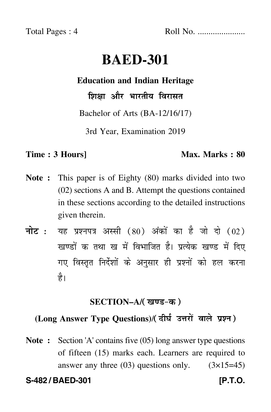Total Pages : 4 Roll No. ......................

# **BAED-301**

### **Education and Indian Heritage**

शिक्षा और भारतीय विरासत

Bachelor of Arts (BA-12/16/17)

3rd Year, Examination 2019

#### **Time : 3 Hours]** Max. Marks : 80

- **Note :** This paper is of Eighty (80) marks divided into two (02) sections A and B. Attempt the questions contained in these sections according to the detailed instructions given therein.
- नोट : यह प्रश्नपत्र अस्सी (80) अंकों का है जो दो (02) खण्डों क तथा ख में विभाजित है। प्रत्येक खण्ड में दिए गए विस्तृत निर्देशों के अनुसार ही प्रश्नों को हल करन<mark>ा</mark> है।

### **SECTION–A/**

## (Long Answer Type Questions)/( दीर्घ उत्तरों वाले प्रश्न )

**Note :** Section 'A' contains five (05) long answer type questions of fifteen (15) marks each. Learners are required to answer any three  $(03)$  questions only.  $(3\times15=45)$ 

**S-482 / BAED-301 [P.T.O.**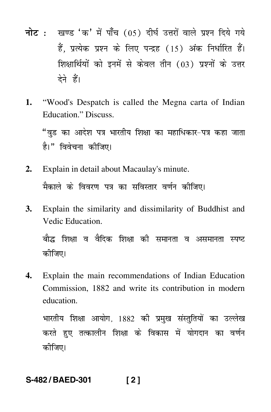- नोट : खण्ड 'क' में पाँच (05) दीर्घ उत्तरों वाले प्रश्न दिये गये हैं. प्रत्येक प्रश्न के लिए पन्द्रह (15) अंक निर्धारित हैं। शिक्षार्थियों को इनमें से केवल तीन (03) प्रश्नों के उत्तर देने हैं।
- 1. "Wood's Despatch is called the Megna carta of Indian Education." Discuss.

"वुड का आदेश पत्र भारतीय शिक्षा का महाधिकार-पत्र कहा जाता है।" विवेचना कीजिए।

- Explain in detail about Macaulay's minute.  $2.$ मैकाले के विवरण पत्र का सविस्तार वर्णन कीजिए।
- 3. Explain the similarity and dissimilarity of Buddhist and Vedic Education.

बौद्ध शिक्षा व वैदिक शिक्षा की समानता व असमानता स्पष्ट कीजिए।

Explain the main recommendations of Indian Education 4. Commission, 1882 and write its contribution in modern education.

भारतीय शिक्षा आयोग, 1882 की प्रमुख संस्तुतियों का उल्लेख करते हुए तत्कालीन शिक्षा के विकास में योगदान का वर्णन कीजिए।

#### S-482/BAED-301  $[2]$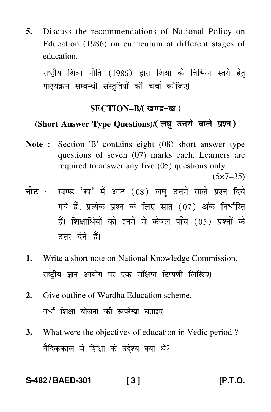**5.** Discuss the recommendations of National Policy on Education (1986) on curriculum at different stages of education.

राष्ट्रीय शिक्षा नीति (1986) द्वारा शिक्षा के विभिन्न स्तरों हेतु पाठ्यक्रम सम्बन्धी संस्तुतियों की चर्चा कीजिए।

#### **SECTION–B/**

### (Short Answer Type Questions)/( लघु उत्तरों वाले प्रश्न)

**Note :** Section 'B' contains eight (08) short answer type questions of seven (07) marks each. Learners are required to answer any five (05) questions only.

 $(5 \times 7 = 35)$ 

- <mark>नोट</mark> : खण्ड 'ख' में आठ (08) लघु उत्तरों वाले प्रश्न दिये गये हैं, प्रत्येक प्रश्न के लिए सात (07) अंक निर्धारित हैं। शिक्षार्थियों को इनमें से केवल पाँच (05) प्रश्नों के उत्तर देने हैं।
- **1.** Write a short note on National Knowledge Commission. राष्ट्रीय ज्ञान अायोग पर एक संक्षिप्त टिप्पणी लिखिए।
- **2.** Give outline of Wardha Education scheme. वर्धा शिक्षा योजना की रूपरेखा बताइए।
- **3.** What were the objectives of education in Vedic period ? वैदिककाल में शिक्षा के उद्देश्य क्या थे?

**S-482 / BAED-301 [ 3 ] [P.T.O.**